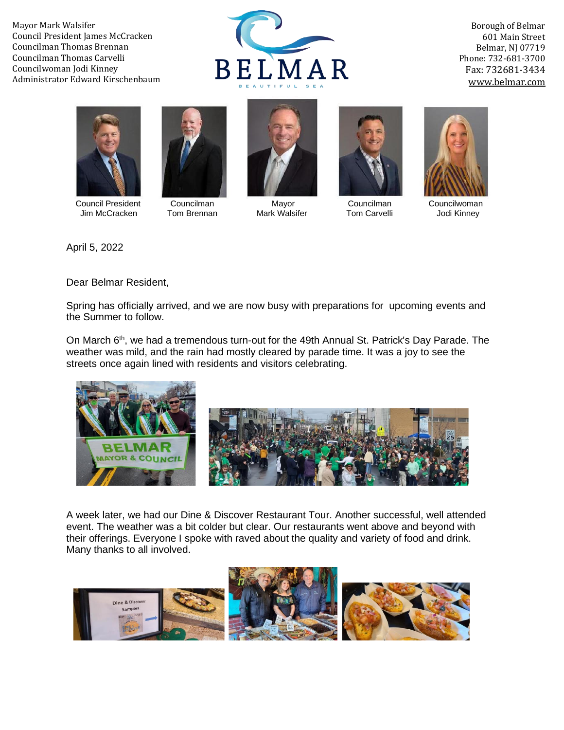Mayor Mark Walsifer Council President James McCracken Councilman Thomas Brennan Councilman Thomas Carvelli Councilwoman Jodi Kinney Administrator Edward Kirschenbaum



Borough of Belmar 601 Main Street Belmar, NJ 07719 Phone: 732-681-3700 Fax: 732681-3434 [www.belmar.com](http://www.belmar.com/)





 Council President Councilman Mayor Councilman Councilwoman Jim McCracken Tom Brennan Mark Walsifer Tom Carvelli Jodi Kinney







April 5, 2022

Dear Belmar Resident,

Spring has officially arrived, and we are now busy with preparations for upcoming events and the Summer to follow.

On March 6<sup>th</sup>, we had a tremendous turn-out for the 49th Annual St. Patrick's Day Parade. The weather was mild, and the rain had mostly cleared by parade time. It was a joy to see the streets once again lined with residents and visitors celebrating.



A week later, we had our Dine & Discover Restaurant Tour. Another successful, well attended event. The weather was a bit colder but clear. Our restaurants went above and beyond with their offerings. Everyone I spoke with raved about the quality and variety of food and drink. Many thanks to all involved.

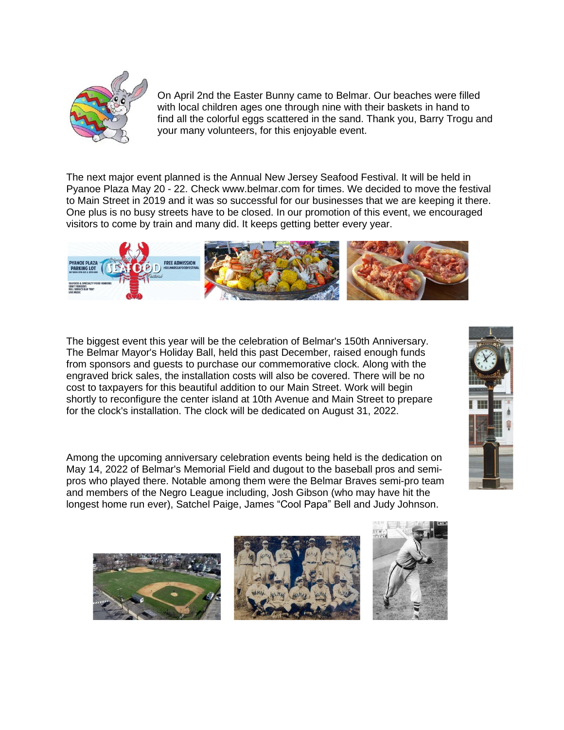

On April 2nd the Easter Bunny came to Belmar. Our beaches were filled with local children ages one through nine with their baskets in hand to find all the colorful eggs scattered in the sand. Thank you, Barry Trogu and your many volunteers, for this enjoyable event.

The next major event planned is the Annual New Jersey Seafood Festival. It will be held in Pyanoe Plaza May 20 - 22. Check www.belmar.com for times. We decided to move the festival to Main Street in 2019 and it was so successful for our businesses that we are keeping it there. One plus is no busy streets have to be closed. In our promotion of this event, we encouraged visitors to come by train and many did. It keeps getting better every year.



The biggest event this year will be the celebration of Belmar's 150th Anniversary. The Belmar Mayor's Holiday Ball, held this past December, raised enough funds from sponsors and guests to purchase our commemorative clock. Along with the engraved brick sales, the installation costs will also be covered. There will be no cost to taxpayers for this beautiful addition to our Main Street. Work will begin shortly to reconfigure the center island at 10th Avenue and Main Street to prepare for the clock's installation. The clock will be dedicated on August 31, 2022.

Among the upcoming anniversary celebration events being held is the dedication on May 14, 2022 of Belmar's Memorial Field and dugout to the baseball pros and semipros who played there. Notable among them were the Belmar Braves semi-pro team and members of the Negro League including, Josh Gibson (who may have hit the longest home run ever), Satchel Paige, James "Cool Papa" Bell and Judy Johnson.







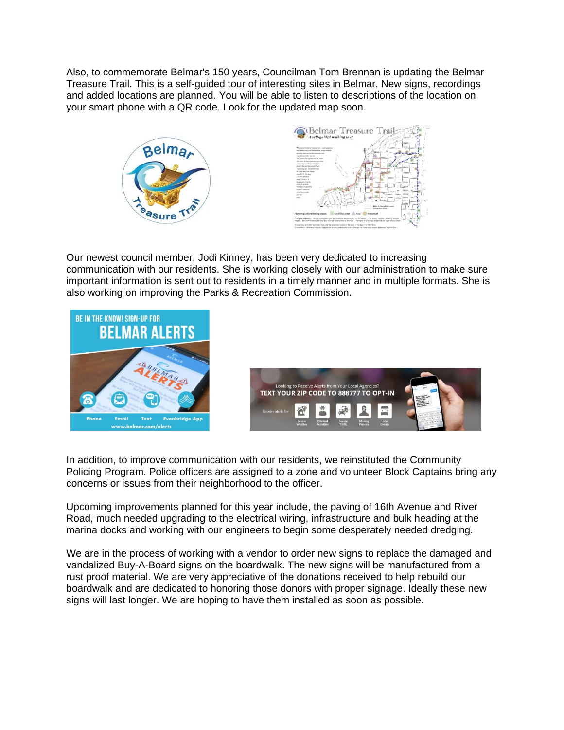Also, to commemorate Belmar's 150 years, Councilman Tom Brennan is updating the Belmar Treasure Trail. This is a self-guided tour of interesting sites in Belmar. New signs, recordings and added locations are planned. You will be able to listen to descriptions of the location on your smart phone with a QR code. Look for the updated map soon.





Our newest council member, Jodi Kinney, has been very dedicated to increasing communication with our residents. She is working closely with our administration to make sure important information is sent out to residents in a timely manner and in multiple formats. She is also working on improving the Parks & Recreation Commission.



In addition, to improve communication with our residents, we reinstituted the Community Policing Program. Police officers are assigned to a zone and volunteer Block Captains bring any concerns or issues from their neighborhood to the officer.

Upcoming improvements planned for this year include, the paving of 16th Avenue and River Road, much needed upgrading to the electrical wiring, infrastructure and bulk heading at the marina docks and working with our engineers to begin some desperately needed dredging.

We are in the process of working with a vendor to order new signs to replace the damaged and vandalized Buy-A-Board signs on the boardwalk. The new signs will be manufactured from a rust proof material. We are very appreciative of the donations received to help rebuild our boardwalk and are dedicated to honoring those donors with proper signage. Ideally these new signs will last longer. We are hoping to have them installed as soon as possible.